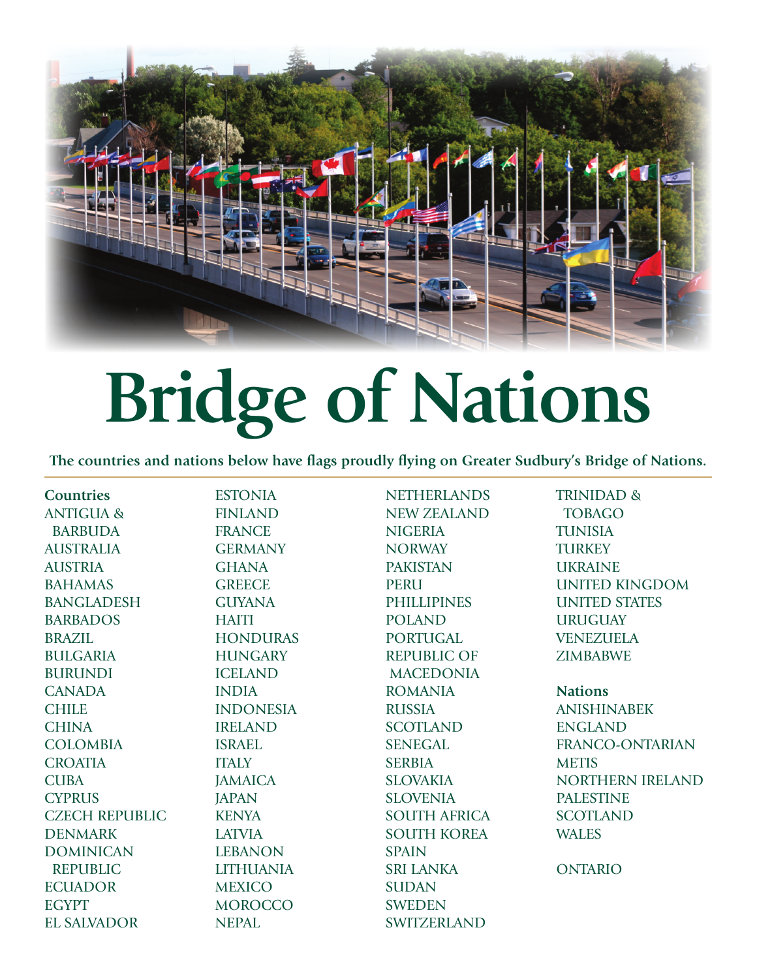

## **Bridge of Nations**

**The countries and nations below have flags proudly flying on Greater Sudbury's Bridge of Nations.**

**Countries** ANTIGUA & BARBUDA AUSTRALIA AUSTRIA BAHAMAS BANGLADESH BARBADOS BRAZIL BULGARIA BURUNDI **CANADA CHILE CHINA** COLOMBIA **CROATIA CUBA CYPRUS** CZECH REPUBLIC DENMARK DOMINICAN REPUBLIC **ECUADOR** EGYPT EL SALVADOR

ESTONIA FINLAND FRANCE **GERMANY** GHANA **GREECE** GUYANA **HAITI HONDURAS HUNGARY** ICELAND INDIA INDONESIA IRELAND ISRAEL **ITALY JAMAICA JAPAN KENYA** LATVIA LEBANON LITHUANIA **MEXICO MOROCCO** NEPAL

**NETHERLANDS** NEW ZEALAND **NIGERIA NORWAY** PAKISTAN **PERU PHILLIPINES** POLAND PORTUGAL REPUBLIC OF MACEDONIA ROMANIA **RUSSIA SCOTLAND SENEGAL** SERBIA SLOVAKIA SLOVENIA SOUTH AFRICA SOUTH KOREA SPAIN SRI LANKA **SUDAN** SWEDEN SWITZERLAND

TRINIDAD & TOBAGO TUNISIA **TURKEY** UKRAINE UNITED KINGDOM UNITED STATES **URUGUAY** VENEZUELA ZIMBABWE

**Nations** ANISHINABEK ENGLAND FRANCO-ONTARIAN **METIS** NORTHERN IRELAND PALESTINE SCOTLAND WALES

ONTARIO